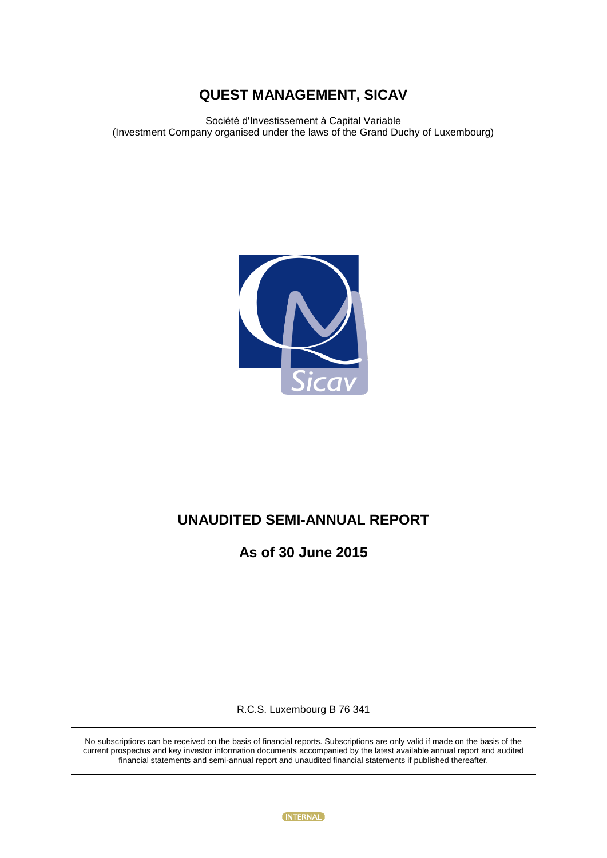Société d'Investissement à Capital Variable (Investment Company organised under the laws of the Grand Duchy of Luxembourg)



# **UNAUDITED SEMI-ANNUAL REPORT**

**As of 30 June 2015**

R.C.S. Luxembourg B 76 341

No subscriptions can be received on the basis of financial reports. Subscriptions are only valid if made on the basis of the current prospectus and key investor information documents accompanied by the latest available annual report and audited financial statements and semi-annual report and unaudited financial statements if published thereafter.

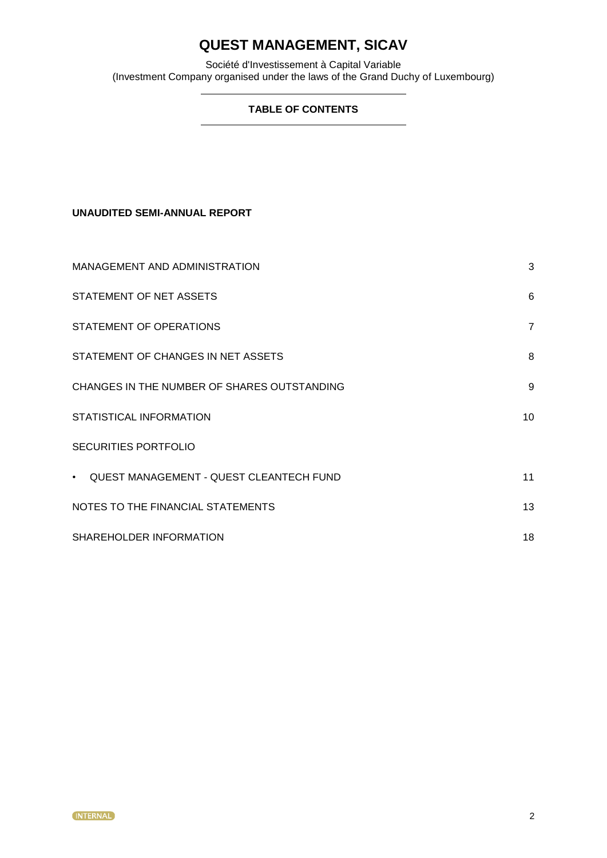Société d'Investissement à Capital Variable (Investment Company organised under the laws of the Grand Duchy of Luxembourg)

### **TABLE OF CONTENTS**

### **UNAUDITED SEMI-ANNUAL REPORT**

| MANAGEMENT AND ADMINISTRATION               | 3               |
|---------------------------------------------|-----------------|
| STATEMENT OF NET ASSETS                     | 6               |
| STATEMENT OF OPERATIONS                     | $\overline{7}$  |
| STATEMENT OF CHANGES IN NET ASSETS          | 8               |
| CHANGES IN THE NUMBER OF SHARES OUTSTANDING | 9               |
| STATISTICAL INFORMATION                     | 10 <sup>°</sup> |
| <b>SECURITIES PORTFOLIO</b>                 |                 |
| • QUEST MANAGEMENT - QUEST CLEANTECH FUND   | 11              |
| NOTES TO THE FINANCIAL STATEMENTS           | 13              |
| SHAREHOLDER INFORMATION                     | 18              |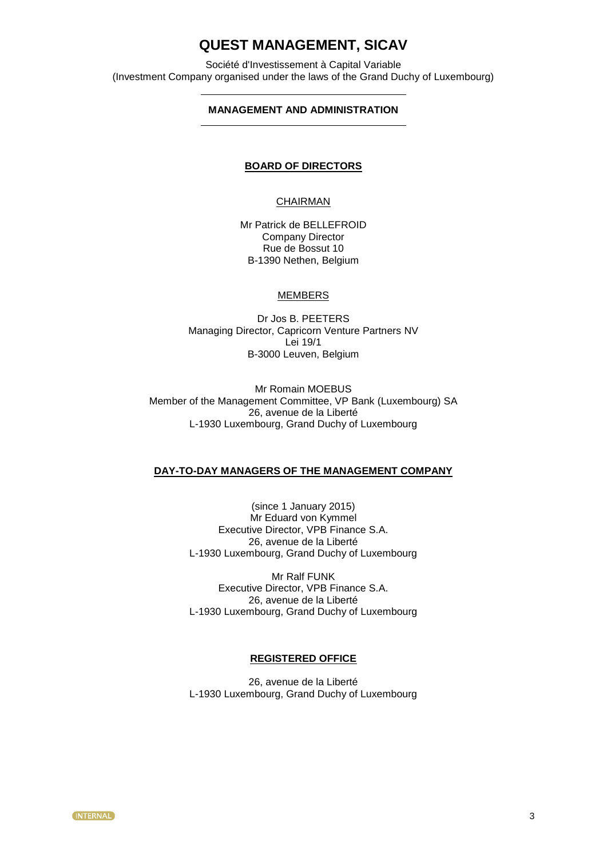Société d'Investissement à Capital Variable (Investment Company organised under the laws of the Grand Duchy of Luxembourg)

### **MANAGEMENT AND ADMINISTRATION**

#### **BOARD OF DIRECTORS**

### **CHAIRMAN**

Mr Patrick de BELLEFROID Company Director Rue de Bossut 10 B-1390 Nethen, Belgium

### MEMBERS

Dr Jos B. PEETERS Managing Director, Capricorn Venture Partners NV Lei 19/1 B-3000 Leuven, Belgium

Mr Romain MOEBUS Member of the Management Committee, VP Bank (Luxembourg) SA 26, avenue de la Liberté L-1930 Luxembourg, Grand Duchy of Luxembourg

### **DAY-TO-DAY MANAGERS OF THE MANAGEMENT COMPANY**

(since 1 January 2015) Mr Eduard von Kymmel Executive Director, VPB Finance S.A. 26, avenue de la Liberté L-1930 Luxembourg, Grand Duchy of Luxembourg

Mr Ralf FUNK Executive Director, VPB Finance S.A. 26, avenue de la Liberté L-1930 Luxembourg, Grand Duchy of Luxembourg

### **REGISTERED OFFICE**

26, avenue de la Liberté L-1930 Luxembourg, Grand Duchy of Luxembourg

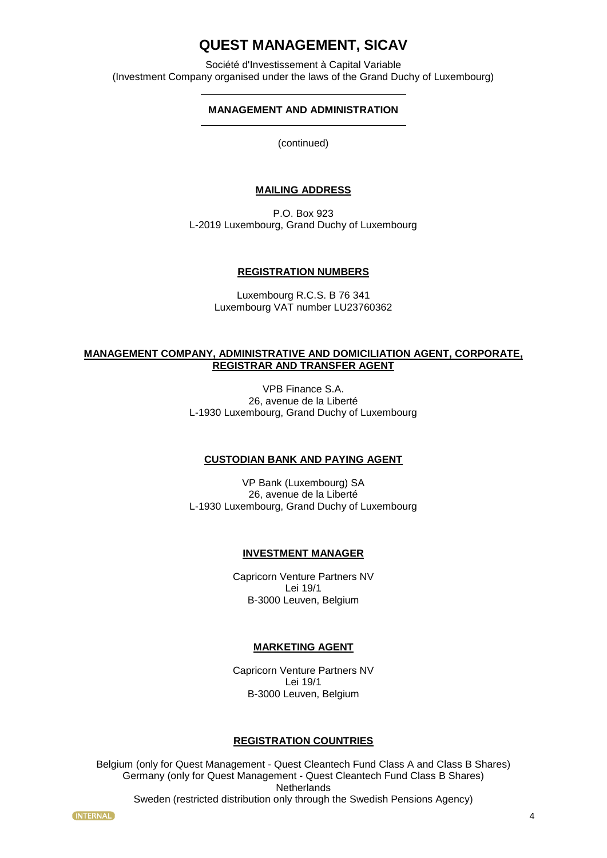Société d'Investissement à Capital Variable (Investment Company organised under the laws of the Grand Duchy of Luxembourg)

### **MANAGEMENT AND ADMINISTRATION**

(continued)

### **MAILING ADDRESS**

P.O. Box 923 L-2019 Luxembourg, Grand Duchy of Luxembourg

### **REGISTRATION NUMBERS**

Luxembourg R.C.S. B 76 341 Luxembourg VAT number LU23760362

### **MANAGEMENT COMPANY, ADMINISTRATIVE AND DOMICILIATION AGENT, CORPORATE, REGISTRAR AND TRANSFER AGENT**

VPB Finance S.A. 26, avenue de la Liberté L-1930 Luxembourg, Grand Duchy of Luxembourg

### **CUSTODIAN BANK AND PAYING AGENT**

VP Bank (Luxembourg) SA 26, avenue de la Liberté L-1930 Luxembourg, Grand Duchy of Luxembourg

### **INVESTMENT MANAGER**

Capricorn Venture Partners NV Lei 19/1 B-3000 Leuven, Belgium

### **MARKETING AGENT**

Capricorn Venture Partners NV Lei 19/1 B-3000 Leuven, Belgium

### **REGISTRATION COUNTRIES**

Belgium (only for Quest Management - Quest Cleantech Fund Class A and Class B Shares) Germany (only for Quest Management - Quest Cleantech Fund Class B Shares) **Netherlands** Sweden (restricted distribution only through the Swedish Pensions Agency)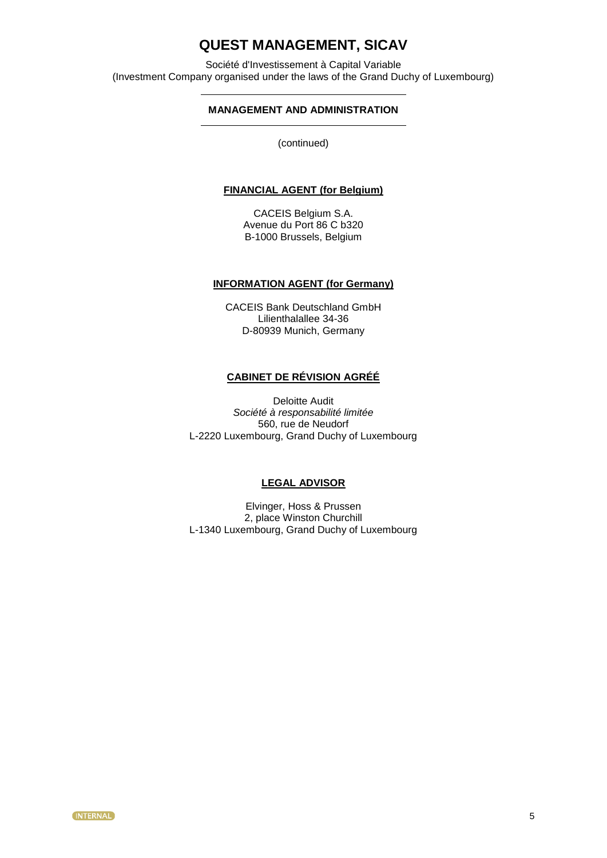Société d'Investissement à Capital Variable (Investment Company organised under the laws of the Grand Duchy of Luxembourg)

### **MANAGEMENT AND ADMINISTRATION**

(continued)

### **FINANCIAL AGENT (for Belgium)**

CACEIS Belgium S.A. Avenue du Port 86 C b320 B-1000 Brussels, Belgium

### **INFORMATION AGENT (for Germany)**

CACEIS Bank Deutschland GmbH Lilienthalallee 34-36 D-80939 Munich, Germany

### **CABINET DE RÉVISION AGRÉÉ**

Deloitte Audit *Société à responsabilité limitée* 560, rue de Neudorf L-2220 Luxembourg, Grand Duchy of Luxembourg

### **LEGAL ADVISOR**

Elvinger, Hoss & Prussen 2, place Winston Churchill L-1340 Luxembourg, Grand Duchy of Luxembourg

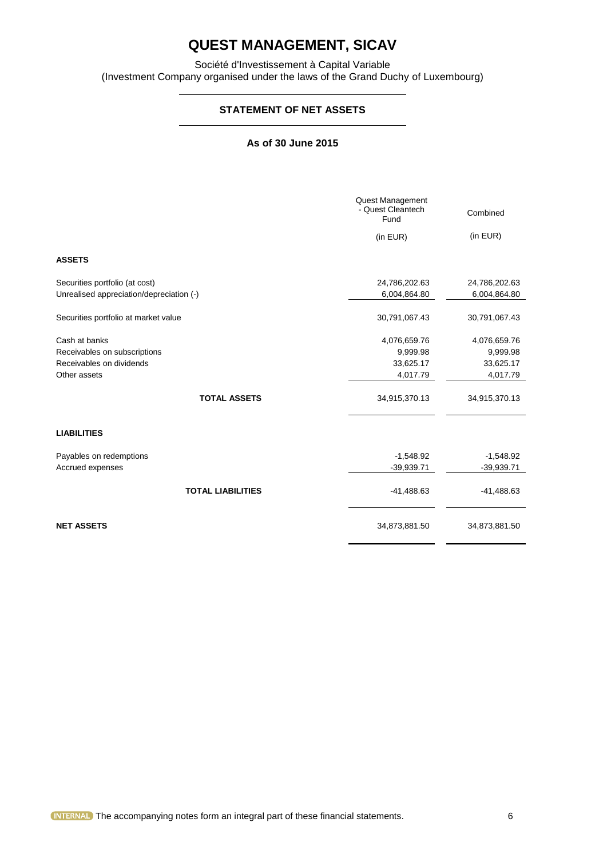Société d'Investissement à Capital Variable (Investment Company organised under the laws of the Grand Duchy of Luxembourg)

### **STATEMENT OF NET ASSETS**

### **As of 30 June 2015**

|                                               | Quest Management<br>- Quest Cleantech<br>Fund<br>(in EUR) | Combined<br>(in EUR)     |
|-----------------------------------------------|-----------------------------------------------------------|--------------------------|
| <b>ASSETS</b>                                 |                                                           |                          |
|                                               |                                                           |                          |
| Securities portfolio (at cost)                | 24,786,202.63                                             | 24,786,202.63            |
| Unrealised appreciation/depreciation (-)      | 6,004,864.80                                              | 6,004,864.80             |
|                                               |                                                           |                          |
| Securities portfolio at market value          | 30,791,067.43                                             | 30,791,067.43            |
|                                               |                                                           |                          |
| Cash at banks<br>Receivables on subscriptions | 4,076,659.76<br>9,999.98                                  | 4,076,659.76<br>9,999.98 |
| Receivables on dividends                      | 33,625.17                                                 | 33,625.17                |
| Other assets                                  | 4,017.79                                                  | 4,017.79                 |
|                                               |                                                           |                          |
| <b>TOTAL ASSETS</b>                           | 34,915,370.13                                             | 34,915,370.13            |
| <b>LIABILITIES</b>                            |                                                           |                          |
| Payables on redemptions                       | $-1,548.92$                                               | $-1,548.92$              |
| Accrued expenses                              | $-39,939.71$                                              | $-39,939.71$             |
|                                               |                                                           |                          |
| <b>TOTAL LIABILITIES</b>                      | $-41,488.63$                                              | $-41,488.63$             |
| <b>NET ASSETS</b>                             | 34,873,881.50                                             | 34,873,881.50            |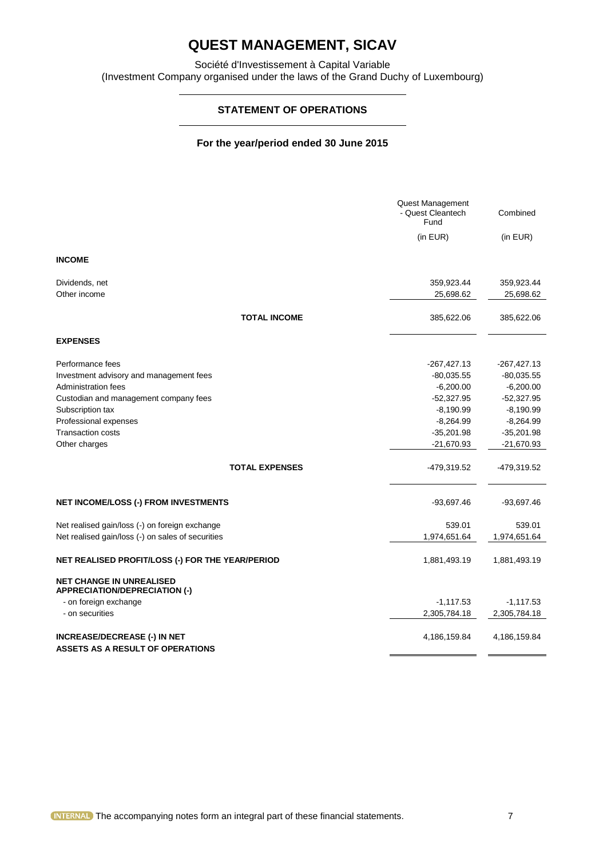Société d'Investissement à Capital Variable (Investment Company organised under the laws of the Grand Duchy of Luxembourg)

### **STATEMENT OF OPERATIONS**

### **For the year/period ended 30 June 2015**

|                                                                                | Quest Management<br>- Quest Cleantech<br>Fund | Combined      |
|--------------------------------------------------------------------------------|-----------------------------------------------|---------------|
|                                                                                | (in EUR)                                      | (in EUR)      |
| <b>INCOME</b>                                                                  |                                               |               |
| Dividends, net                                                                 | 359,923.44                                    | 359,923.44    |
| Other income                                                                   | 25,698.62                                     | 25,698.62     |
| <b>TOTAL INCOME</b>                                                            | 385,622.06                                    | 385,622.06    |
| <b>EXPENSES</b>                                                                |                                               |               |
| Performance fees                                                               | $-267,427.13$                                 | $-267,427.13$ |
| Investment advisory and management fees                                        | $-80,035.55$                                  | $-80,035.55$  |
| Administration fees                                                            | $-6,200.00$                                   | $-6,200.00$   |
| Custodian and management company fees                                          | $-52,327.95$                                  | $-52,327.95$  |
| Subscription tax                                                               | $-8,190.99$                                   | $-8,190.99$   |
| Professional expenses                                                          | $-8,264.99$                                   | $-8,264.99$   |
| <b>Transaction costs</b>                                                       | $-35,201.98$                                  | $-35,201.98$  |
| Other charges                                                                  | $-21,670.93$                                  | $-21,670.93$  |
| <b>TOTAL EXPENSES</b>                                                          | -479,319.52                                   | -479,319.52   |
| <b>NET INCOME/LOSS (-) FROM INVESTMENTS</b>                                    | $-93,697.46$                                  | $-93,697.46$  |
| Net realised gain/loss (-) on foreign exchange                                 | 539.01                                        | 539.01        |
| Net realised gain/loss (-) on sales of securities                              | 1,974,651.64                                  | 1,974,651.64  |
| NET REALISED PROFIT/LOSS (-) FOR THE YEAR/PERIOD                               | 1,881,493.19                                  | 1,881,493.19  |
| <b>NET CHANGE IN UNREALISED</b><br><b>APPRECIATION/DEPRECIATION (-)</b>        |                                               |               |
| - on foreign exchange                                                          | $-1,117.53$                                   | $-1,117.53$   |
| - on securities                                                                | 2,305,784.18                                  | 2,305,784.18  |
| <b>INCREASE/DECREASE (-) IN NET</b><br><b>ASSETS AS A RESULT OF OPERATIONS</b> | 4,186,159.84                                  | 4,186,159.84  |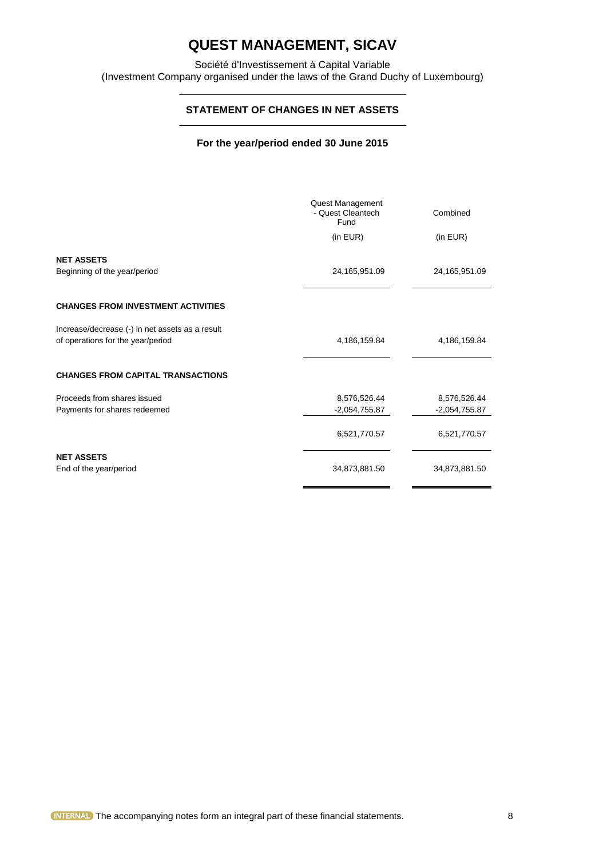Société d'Investissement à Capital Variable (Investment Company organised under the laws of the Grand Duchy of Luxembourg)

### **STATEMENT OF CHANGES IN NET ASSETS**

### **For the year/period ended 30 June 2015**

|                                                   | Quest Management<br>- Quest Cleantech<br>Fund | Combined        |
|---------------------------------------------------|-----------------------------------------------|-----------------|
|                                                   | (in EUR)                                      | (in EUR)        |
| <b>NET ASSETS</b><br>Beginning of the year/period | 24,165,951.09                                 | 24,165,951.09   |
| <b>CHANGES FROM INVESTMENT ACTIVITIES</b>         |                                               |                 |
| Increase/decrease (-) in net assets as a result   |                                               |                 |
| of operations for the year/period                 | 4,186,159.84                                  | 4,186,159.84    |
| <b>CHANGES FROM CAPITAL TRANSACTIONS</b>          |                                               |                 |
| Proceeds from shares issued                       | 8,576,526.44                                  | 8,576,526.44    |
| Payments for shares redeemed                      | $-2,054,755.87$                               | $-2,054,755.87$ |
|                                                   | 6,521,770.57                                  | 6,521,770.57    |
| <b>NET ASSETS</b><br>End of the year/period       | 34,873,881.50                                 | 34,873,881.50   |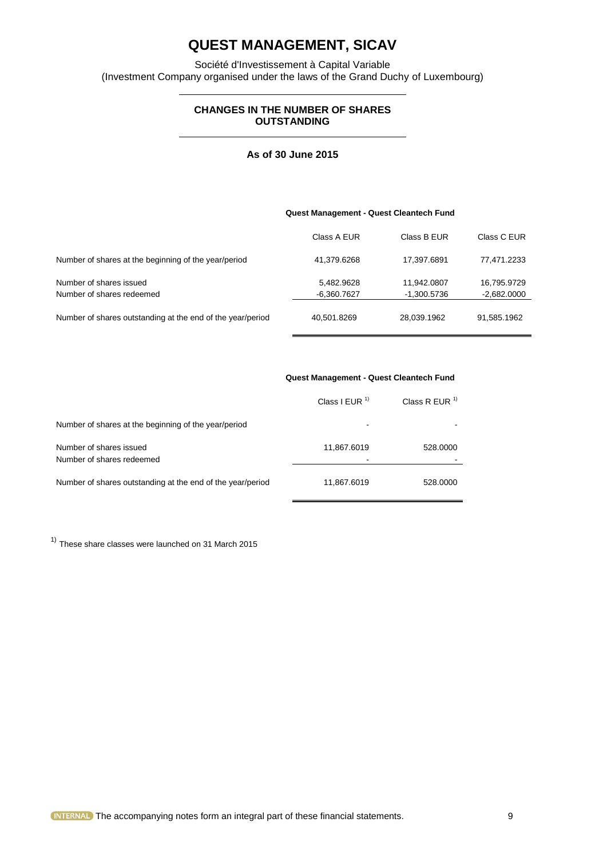Société d'Investissement à Capital Variable (Investment Company organised under the laws of the Grand Duchy of Luxembourg)

### **CHANGES IN THE NUMBER OF SHARES OUTSTANDING**

### **As of 30 June 2015**

|                                                            | Quest Management - Quest Cleantech Fund |             |               |
|------------------------------------------------------------|-----------------------------------------|-------------|---------------|
|                                                            | Class A EUR                             | Class B EUR | Class C EUR   |
| Number of shares at the beginning of the year/period       | 41,379.6268                             | 17,397.6891 | 77,471.2233   |
| Number of shares issued                                    | 5,482.9628                              | 11.942.0807 | 16,795.9729   |
| Number of shares redeemed                                  | -6,360.7627                             | -1.300.5736 | $-2,682.0000$ |
| Number of shares outstanding at the end of the year/period | 40,501.8269                             | 28,039.1962 | 91,585.1962   |

|                                                            | Class I EUR $1$ | Class R EUR $1$ |
|------------------------------------------------------------|-----------------|-----------------|
| Number of shares at the beginning of the year/period       | ۰               |                 |
| Number of shares issued<br>Number of shares redeemed       | 11,867.6019     | 528,0000        |
| Number of shares outstanding at the end of the year/period | 11,867.6019     | 528,0000        |

 $<sup>1</sup>$  These share classes were launched on 31 March 2015</sup>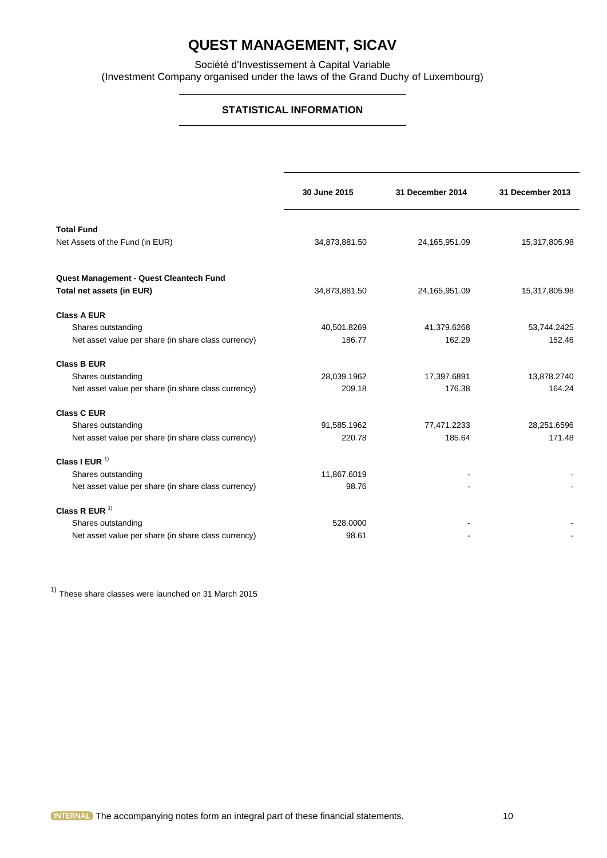Société d'Investissement à Capital Variable (Investment Company organised under the laws of the Grand Duchy of Luxembourg)

### **STATISTICAL INFORMATION**

|                                                                      | 30 June 2015  | 31 December 2014 | 31 December 2013 |
|----------------------------------------------------------------------|---------------|------------------|------------------|
| <b>Total Fund</b><br>Net Assets of the Fund (in EUR)                 | 34,873,881.50 | 24,165,951.09    | 15,317,805.98    |
| Quest Management - Quest Cleantech Fund<br>Total net assets (in EUR) | 34,873,881.50 | 24,165,951.09    | 15,317,805.98    |
| <b>Class A EUR</b>                                                   |               |                  |                  |
| Shares outstanding                                                   | 40,501.8269   | 41,379.6268      | 53,744.2425      |
| Net asset value per share (in share class currency)                  | 186.77        | 162.29           | 152.46           |
| <b>Class B EUR</b>                                                   |               |                  |                  |
| Shares outstanding                                                   | 28,039.1962   | 17,397.6891      | 13,878.2740      |
| Net asset value per share (in share class currency)                  | 209.18        | 176.38           | 164.24           |
| <b>Class C EUR</b>                                                   |               |                  |                  |
| Shares outstanding                                                   | 91,585.1962   | 77,471.2233      | 28,251.6596      |
| Net asset value per share (in share class currency)                  | 220.78        | 185.64           | 171.48           |
| Class I EUR $1$                                                      |               |                  |                  |
| Shares outstanding                                                   | 11,867.6019   |                  |                  |
| Net asset value per share (in share class currency)                  | 98.76         |                  |                  |
| Class R EUR $1$                                                      |               |                  |                  |
| Shares outstanding                                                   | 528.0000      |                  |                  |
| Net asset value per share (in share class currency)                  | 98.61         |                  |                  |

 $<sup>1</sup>$  These share classes were launched on 31 March 2015</sup>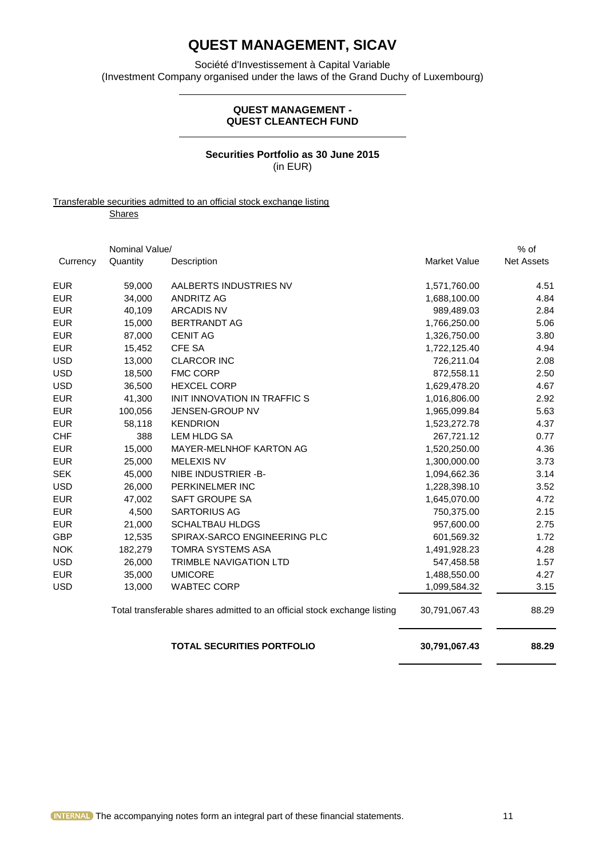Société d'Investissement à Capital Variable (Investment Company organised under the laws of the Grand Duchy of Luxembourg)

### **QUEST MANAGEMENT - QUEST CLEANTECH FUND**

### **Securities Portfolio as 30 June 2015** (in EUR)

Transferable securities admitted to an official stock exchange listing **Shares** 

|            | Nominal Value/ |                                                                          |                     | $%$ of            |
|------------|----------------|--------------------------------------------------------------------------|---------------------|-------------------|
| Currency   | Quantity       | Description                                                              | <b>Market Value</b> | <b>Net Assets</b> |
| <b>EUR</b> | 59,000         | AALBERTS INDUSTRIES NV                                                   | 1,571,760.00        | 4.51              |
| <b>EUR</b> | 34.000         | <b>ANDRITZ AG</b>                                                        | 1,688,100.00        | 4.84              |
| <b>EUR</b> | 40,109         | <b>ARCADIS NV</b>                                                        | 989,489.03          | 2.84              |
| <b>EUR</b> | 15,000         | <b>BERTRANDT AG</b>                                                      | 1,766,250.00        | 5.06              |
| <b>EUR</b> | 87,000         | <b>CENIT AG</b>                                                          | 1,326,750.00        | 3.80              |
| <b>EUR</b> | 15,452         | <b>CFE SA</b>                                                            | 1,722,125.40        | 4.94              |
| <b>USD</b> | 13,000         | <b>CLARCOR INC</b>                                                       | 726,211.04          | 2.08              |
| <b>USD</b> | 18,500         | <b>FMC CORP</b>                                                          | 872,558.11          | 2.50              |
| <b>USD</b> | 36,500         | <b>HEXCEL CORP</b>                                                       | 1,629,478.20        | 4.67              |
| <b>EUR</b> | 41,300         | INIT INNOVATION IN TRAFFIC S                                             | 1,016,806.00        | 2.92              |
| <b>EUR</b> | 100,056        | JENSEN-GROUP NV                                                          | 1,965,099.84        | 5.63              |
| <b>EUR</b> | 58,118         | <b>KENDRION</b>                                                          | 1,523,272.78        | 4.37              |
| <b>CHF</b> | 388            | LEM HLDG SA                                                              | 267,721.12          | 0.77              |
| <b>EUR</b> | 15,000         | MAYER-MELNHOF KARTON AG                                                  | 1,520,250.00        | 4.36              |
| <b>EUR</b> | 25,000         | <b>MELEXIS NV</b>                                                        | 1,300,000.00        | 3.73              |
| <b>SEK</b> | 45,000         | NIBE INDUSTRIER -B-                                                      | 1,094,662.36        | 3.14              |
| <b>USD</b> | 26,000         | PERKINELMER INC                                                          | 1,228,398.10        | 3.52              |
| <b>EUR</b> | 47,002         | SAFT GROUPE SA                                                           | 1,645,070.00        | 4.72              |
| <b>EUR</b> | 4,500          | <b>SARTORIUS AG</b>                                                      | 750,375.00          | 2.15              |
| <b>EUR</b> | 21,000         | <b>SCHALTBAU HLDGS</b>                                                   | 957,600.00          | 2.75              |
| <b>GBP</b> | 12,535         | SPIRAX-SARCO ENGINEERING PLC                                             | 601,569.32          | 1.72              |
| <b>NOK</b> | 182,279        | TOMRA SYSTEMS ASA                                                        | 1,491,928.23        | 4.28              |
| <b>USD</b> | 26,000         | <b>TRIMBLE NAVIGATION LTD</b>                                            | 547,458.58          | 1.57              |
| <b>EUR</b> | 35,000         | <b>UMICORE</b>                                                           | 1,488,550.00        | 4.27              |
| <b>USD</b> | 13,000         | <b>WABTEC CORP</b>                                                       | 1,099,584.32        | 3.15              |
|            |                | Total transferable shares admitted to an official stock exchange listing | 30,791,067.43       | 88.29             |
|            |                | <b>TOTAL SECURITIES PORTFOLIO</b>                                        | 30,791,067.43       | 88.29             |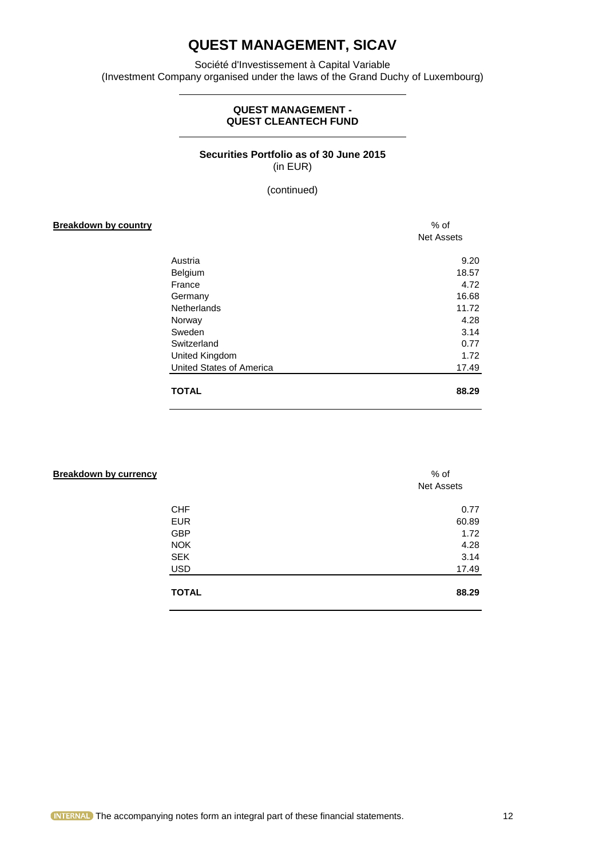Société d'Investissement à Capital Variable (Investment Company organised under the laws of the Grand Duchy of Luxembourg)

### **QUEST MANAGEMENT - QUEST CLEANTECH FUND**

### **Securities Portfolio as of 30 June 2015** (in EUR)

(continued)

## **Breakdown by country the country of the country of the country of the country of the country of the country of the country of the country of the country of the country of the country of the country of the country of the c** Net Assets Austria 9.20 Belgium 18.57<br>France 4.72 France 4.72 Germany 16.68 Netherlands 11.72 Norway 4.28 Sweden 3.14 Switzerland 0.77 United Kingdom 1.72 United States of America 17.49 **TOTAL 88.29**

| <b>Breakdown by currency</b> | % of<br><b>Net Assets</b> |
|------------------------------|---------------------------|
| <b>CHF</b>                   | 0.77                      |
| <b>EUR</b>                   | 60.89                     |
| <b>GBP</b>                   | 1.72                      |
| <b>NOK</b>                   | 4.28                      |
| <b>SEK</b>                   | 3.14                      |
| <b>USD</b>                   | 17.49                     |
| <b>TOTAL</b>                 | 88.29                     |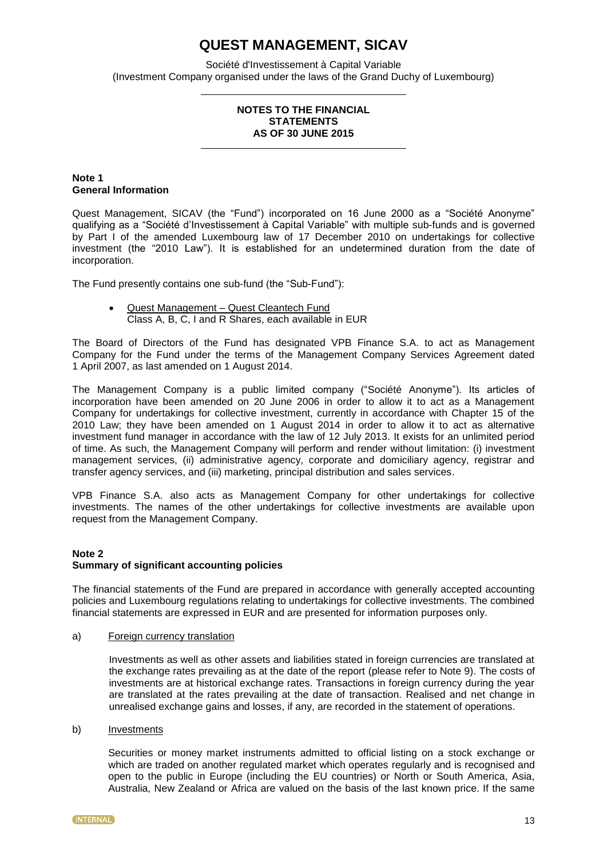Société d'Investissement à Capital Variable (Investment Company organised under the laws of the Grand Duchy of Luxembourg)

### **NOTES TO THE FINANCIAL STATEMENTS AS OF 30 JUNE 2015**

### **Note 1 General Information**

Quest Management, SICAV (the "Fund") incorporated on 16 June 2000 as a "Société Anonyme" qualifying as a "Société d'Investissement à Capital Variable" with multiple sub-funds and is governed by Part I of the amended Luxembourg law of 17 December 2010 on undertakings for collective investment (the "2010 Law"). It is established for an undetermined duration from the date of incorporation.

The Fund presently contains one sub-fund (the "Sub-Fund"):

 Quest Management – Quest Cleantech Fund Class A, B, C, I and R Shares, each available in EUR

The Board of Directors of the Fund has designated VPB Finance S.A. to act as Management Company for the Fund under the terms of the Management Company Services Agreement dated 1 April 2007, as last amended on 1 August 2014.

The Management Company is a public limited company ("Société Anonyme"). Its articles of incorporation have been amended on 20 June 2006 in order to allow it to act as a Management Company for undertakings for collective investment, currently in accordance with Chapter 15 of the 2010 Law; they have been amended on 1 August 2014 in order to allow it to act as alternative investment fund manager in accordance with the law of 12 July 2013. It exists for an unlimited period of time. As such, the Management Company will perform and render without limitation: (i) investment management services, (ii) administrative agency, corporate and domiciliary agency, registrar and transfer agency services, and (iii) marketing, principal distribution and sales services.

VPB Finance S.A. also acts as Management Company for other undertakings for collective investments. The names of the other undertakings for collective investments are available upon request from the Management Company.

### **Note 2**

### **Summary of significant accounting policies**

The financial statements of the Fund are prepared in accordance with generally accepted accounting policies and Luxembourg regulations relating to undertakings for collective investments. The combined financial statements are expressed in EUR and are presented for information purposes only.

### a) Foreign currency translation

Investments as well as other assets and liabilities stated in foreign currencies are translated at the exchange rates prevailing as at the date of the report (please refer to Note 9). The costs of investments are at historical exchange rates. Transactions in foreign currency during the year are translated at the rates prevailing at the date of transaction. Realised and net change in unrealised exchange gains and losses, if any, are recorded in the statement of operations.

b) Investments

Securities or money market instruments admitted to official listing on a stock exchange or which are traded on another regulated market which operates regularly and is recognised and open to the public in Europe (including the EU countries) or North or South America, Asia, Australia, New Zealand or Africa are valued on the basis of the last known price. If the same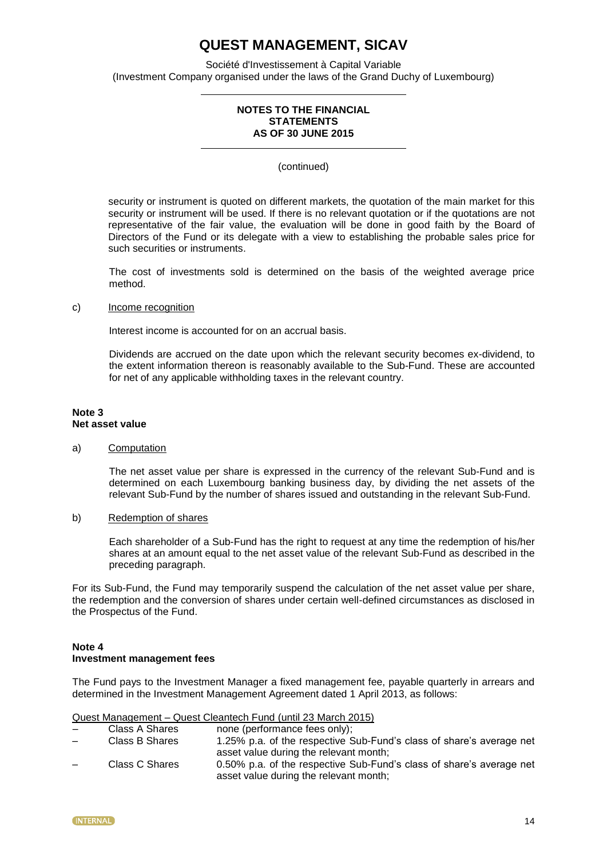Société d'Investissement à Capital Variable (Investment Company organised under the laws of the Grand Duchy of Luxembourg)

### **NOTES TO THE FINANCIAL STATEMENTS AS OF 30 JUNE 2015**

(continued)

security or instrument is quoted on different markets, the quotation of the main market for this security or instrument will be used. If there is no relevant quotation or if the quotations are not representative of the fair value, the evaluation will be done in good faith by the Board of Directors of the Fund or its delegate with a view to establishing the probable sales price for such securities or instruments.

The cost of investments sold is determined on the basis of the weighted average price method.

### c) Income recognition

Interest income is accounted for on an accrual basis.

Dividends are accrued on the date upon which the relevant security becomes ex-dividend, to the extent information thereon is reasonably available to the Sub-Fund. These are accounted for net of any applicable withholding taxes in the relevant country.

### **Note 3 Net asset value**

#### a) Computation

The net asset value per share is expressed in the currency of the relevant Sub-Fund and is determined on each Luxembourg banking business day, by dividing the net assets of the relevant Sub-Fund by the number of shares issued and outstanding in the relevant Sub-Fund.

b) Redemption of shares

Each shareholder of a Sub-Fund has the right to request at any time the redemption of his/her shares at an amount equal to the net asset value of the relevant Sub-Fund as described in the preceding paragraph.

For its Sub-Fund, the Fund may temporarily suspend the calculation of the net asset value per share, the redemption and the conversion of shares under certain well-defined circumstances as disclosed in the Prospectus of the Fund.

### **Note 4 Investment management fees**

The Fund pays to the Investment Manager a fixed management fee, payable quarterly in arrears and determined in the Investment Management Agreement dated 1 April 2013, as follows:

Quest Management – Quest Cleantech Fund (until 23 March 2015)  $p_{\text{on}}$  (performance fees only)

| $\overline{\phantom{0}}$ | Class A Shares | none (performance rees only);                                        |
|--------------------------|----------------|----------------------------------------------------------------------|
| $\overline{\phantom{0}}$ | Class B Shares | 1.25% p.a. of the respective Sub-Fund's class of share's average net |
|                          |                | asset value during the relevant month;                               |
| $\overline{\phantom{0}}$ | Class C Shares | 0.50% p.a. of the respective Sub-Fund's class of share's average net |
|                          |                | asset value during the relevant month;                               |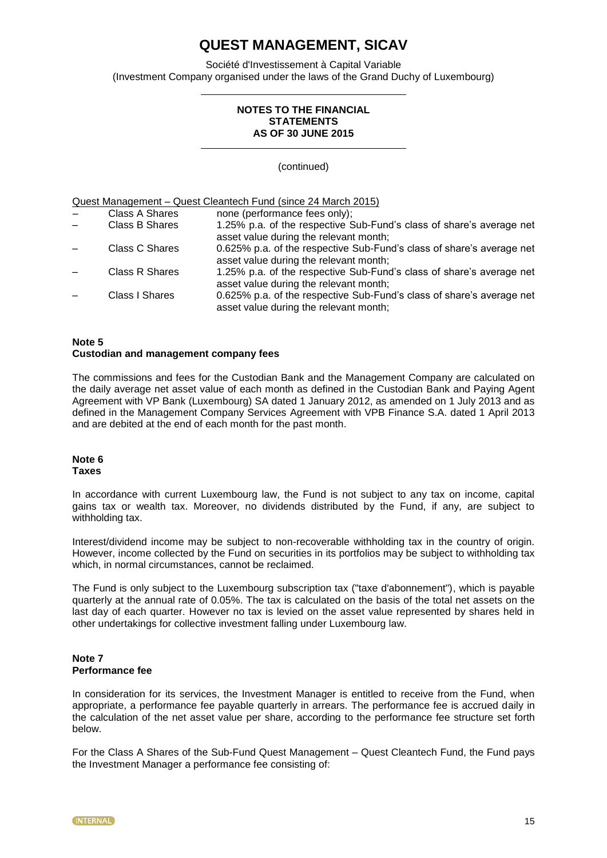Société d'Investissement à Capital Variable (Investment Company organised under the laws of the Grand Duchy of Luxembourg)

### **NOTES TO THE FINANCIAL STATEMENTS AS OF 30 JUNE 2015**

(continued)

Quest Management – Quest Cleantech Fund (since 24 March 2015)

| Class A Shares        | none (performance fees only);                                                                                   |
|-----------------------|-----------------------------------------------------------------------------------------------------------------|
| Class B Shares        | 1.25% p.a. of the respective Sub-Fund's class of share's average net<br>asset value during the relevant month;  |
| Class C Shares        | 0.625% p.a. of the respective Sub-Fund's class of share's average net<br>asset value during the relevant month; |
| <b>Class R Shares</b> | 1.25% p.a. of the respective Sub-Fund's class of share's average net<br>asset value during the relevant month;  |
| Class I Shares        | 0.625% p.a. of the respective Sub-Fund's class of share's average net<br>asset value during the relevant month; |

### **Note 5 Custodian and management company fees**

The commissions and fees for the Custodian Bank and the Management Company are calculated on the daily average net asset value of each month as defined in the Custodian Bank and Paying Agent Agreement with VP Bank (Luxembourg) SA dated 1 January 2012, as amended on 1 July 2013 and as defined in the Management Company Services Agreement with VPB Finance S.A. dated 1 April 2013 and are debited at the end of each month for the past month.

### **Note 6 Taxes**

In accordance with current Luxembourg law, the Fund is not subject to any tax on income, capital gains tax or wealth tax. Moreover, no dividends distributed by the Fund, if any, are subject to withholding tax.

Interest/dividend income may be subject to non-recoverable withholding tax in the country of origin. However, income collected by the Fund on securities in its portfolios may be subject to withholding tax which, in normal circumstances, cannot be reclaimed.

The Fund is only subject to the Luxembourg subscription tax ("taxe d'abonnement"), which is payable quarterly at the annual rate of 0.05%. The tax is calculated on the basis of the total net assets on the last day of each quarter. However no tax is levied on the asset value represented by shares held in other undertakings for collective investment falling under Luxembourg law.

### **Note 7 Performance fee**

In consideration for its services, the Investment Manager is entitled to receive from the Fund, when appropriate, a performance fee payable quarterly in arrears. The performance fee is accrued daily in the calculation of the net asset value per share, according to the performance fee structure set forth below.

For the Class A Shares of the Sub-Fund Quest Management – Quest Cleantech Fund, the Fund pays the Investment Manager a performance fee consisting of: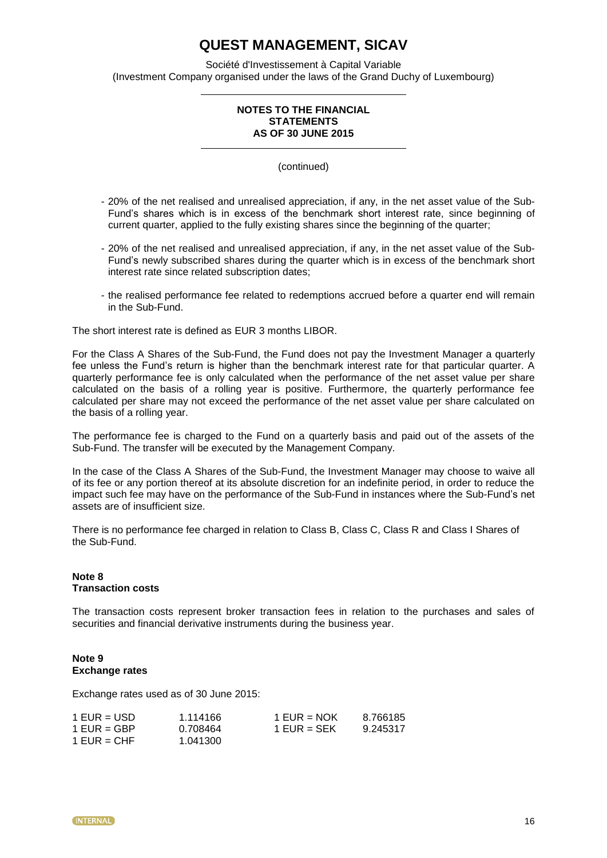Société d'Investissement à Capital Variable (Investment Company organised under the laws of the Grand Duchy of Luxembourg)

### **NOTES TO THE FINANCIAL STATEMENTS AS OF 30 JUNE 2015**

(continued)

- 20% of the net realised and unrealised appreciation, if any, in the net asset value of the Sub-Fund's shares which is in excess of the benchmark short interest rate, since beginning of current quarter, applied to the fully existing shares since the beginning of the quarter;
- 20% of the net realised and unrealised appreciation, if any, in the net asset value of the Sub-Fund's newly subscribed shares during the quarter which is in excess of the benchmark short interest rate since related subscription dates;
- the realised performance fee related to redemptions accrued before a quarter end will remain in the Sub-Fund.

The short interest rate is defined as EUR 3 months LIBOR.

For the Class A Shares of the Sub-Fund, the Fund does not pay the Investment Manager a quarterly fee unless the Fund's return is higher than the benchmark interest rate for that particular quarter. A quarterly performance fee is only calculated when the performance of the net asset value per share calculated on the basis of a rolling year is positive. Furthermore, the quarterly performance fee calculated per share may not exceed the performance of the net asset value per share calculated on the basis of a rolling year.

The performance fee is charged to the Fund on a quarterly basis and paid out of the assets of the Sub-Fund. The transfer will be executed by the Management Company.

In the case of the Class A Shares of the Sub-Fund, the Investment Manager may choose to waive all of its fee or any portion thereof at its absolute discretion for an indefinite period, in order to reduce the impact such fee may have on the performance of the Sub-Fund in instances where the Sub-Fund's net assets are of insufficient size.

There is no performance fee charged in relation to Class B, Class C, Class R and Class I Shares of the Sub-Fund.

### **Note 8 Transaction costs**

The transaction costs represent broker transaction fees in relation to the purchases and sales of securities and financial derivative instruments during the business year.

### **Note 9 Exchange rates**

Exchange rates used as of 30 June 2015:

| $1$ EUR = USD | 1.114166 | 1 EUR = $NOK$ | 8.766185 |
|---------------|----------|---------------|----------|
| 1 EUR = GBP   | 0.708464 | 1 EUR = $SEK$ | 9.245317 |
| $1$ EUR = CHF | 1.041300 |               |          |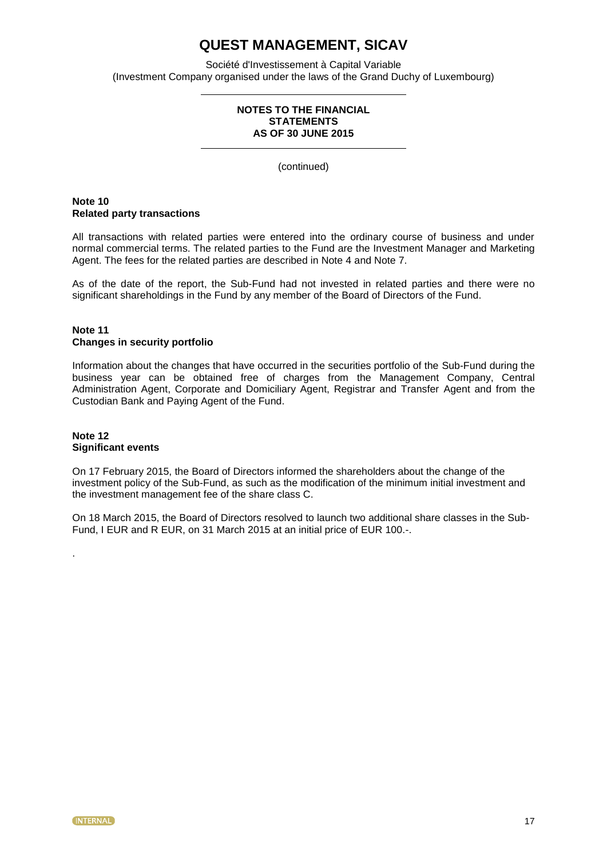Société d'Investissement à Capital Variable (Investment Company organised under the laws of the Grand Duchy of Luxembourg)

### **NOTES TO THE FINANCIAL STATEMENTS AS OF 30 JUNE 2015**

(continued)

### **Note 10 Related party transactions**

All transactions with related parties were entered into the ordinary course of business and under normal commercial terms. The related parties to the Fund are the Investment Manager and Marketing Agent. The fees for the related parties are described in Note 4 and Note 7.

As of the date of the report, the Sub-Fund had not invested in related parties and there were no significant shareholdings in the Fund by any member of the Board of Directors of the Fund.

### **Note 11 Changes in security portfolio**

Information about the changes that have occurred in the securities portfolio of the Sub-Fund during the business year can be obtained free of charges from the Management Company, Central Administration Agent, Corporate and Domiciliary Agent, Registrar and Transfer Agent and from the Custodian Bank and Paying Agent of the Fund.

### **Note 12 Significant events**

.

On 17 February 2015, the Board of Directors informed the shareholders about the change of the investment policy of the Sub-Fund, as such as the modification of the minimum initial investment and the investment management fee of the share class C.

On 18 March 2015, the Board of Directors resolved to launch two additional share classes in the Sub-Fund, I EUR and R EUR, on 31 March 2015 at an initial price of EUR 100.-.